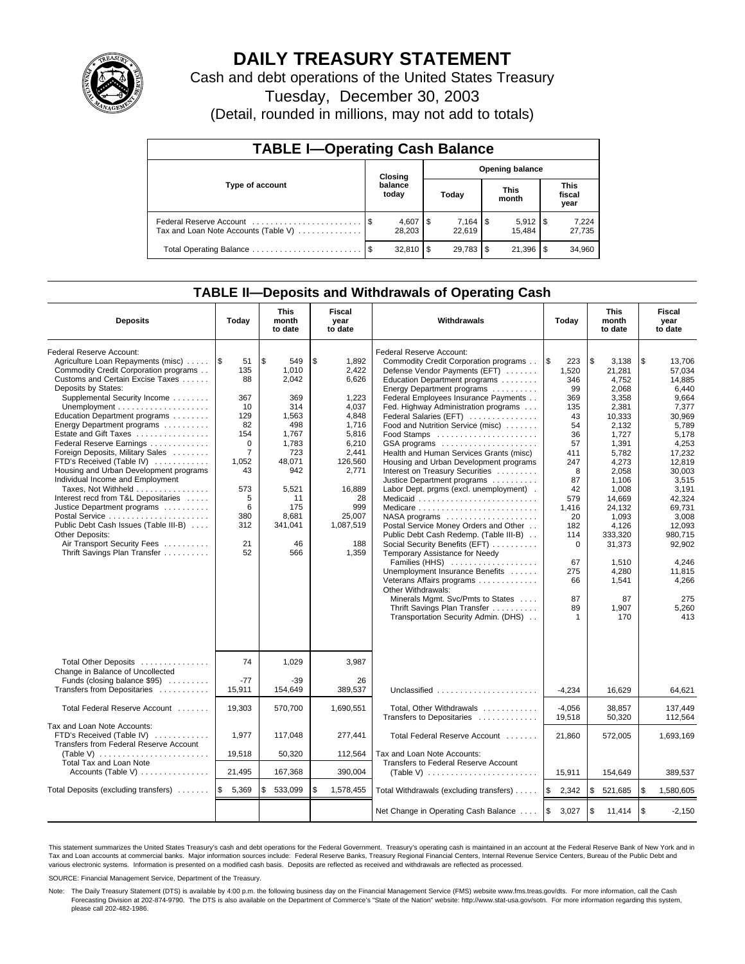

## **DAILY TREASURY STATEMENT**

Cash and debt operations of the United States Treasury

Tuesday, December 30, 2003

(Detail, rounded in millions, may not add to totals)

| <b>TABLE I-Operating Cash Balance</b>                           |      |                          |       |                        |                      |                       |                               |                 |  |  |
|-----------------------------------------------------------------|------|--------------------------|-------|------------------------|----------------------|-----------------------|-------------------------------|-----------------|--|--|
| Type of account                                                 |      | Closing                  |       | <b>Opening balance</b> |                      |                       |                               |                 |  |  |
|                                                                 |      | balance<br>today         | Today |                        | <b>This</b><br>month |                       | <b>This</b><br>fiscal<br>year |                 |  |  |
| Federal Reserve Account<br>Tax and Loan Note Accounts (Table V) |      | $4,607$ \ \ \$<br>28.203 |       | $7.164$ S<br>22.619    |                      | $5,912$ \\$<br>15.484 |                               | 7,224<br>27,735 |  |  |
| Total Operating Balance                                         | - \$ |                          |       | $29,783$ \$            |                      | 21,396                |                               | 34,960          |  |  |

### **TABLE II—Deposits and Withdrawals of Operating Cash**

| <b>Deposits</b>                                                                                                                                                                                                                                                                                                                                                                                                                                                                                                                                                                                                                                                                                                                                            | Today                                                                                                                                           | <b>This</b><br>month<br>to date                                                                                                                              | Fiscal<br>year<br>to date                                                                                                                                                      | Withdrawals                                                                                                                                                                                                                                                                                                                                                                                                                                                                                                                                                                                                                                                                                                                                                                                                                                                                                                                                                        | Today                                                                                                                                                                                                   | <b>This</b><br>month<br>to date                                                                                                                                                                                                                         | Fiscal<br>year<br>to date                                                                                                                                                                                                                                       |
|------------------------------------------------------------------------------------------------------------------------------------------------------------------------------------------------------------------------------------------------------------------------------------------------------------------------------------------------------------------------------------------------------------------------------------------------------------------------------------------------------------------------------------------------------------------------------------------------------------------------------------------------------------------------------------------------------------------------------------------------------------|-------------------------------------------------------------------------------------------------------------------------------------------------|--------------------------------------------------------------------------------------------------------------------------------------------------------------|--------------------------------------------------------------------------------------------------------------------------------------------------------------------------------|--------------------------------------------------------------------------------------------------------------------------------------------------------------------------------------------------------------------------------------------------------------------------------------------------------------------------------------------------------------------------------------------------------------------------------------------------------------------------------------------------------------------------------------------------------------------------------------------------------------------------------------------------------------------------------------------------------------------------------------------------------------------------------------------------------------------------------------------------------------------------------------------------------------------------------------------------------------------|---------------------------------------------------------------------------------------------------------------------------------------------------------------------------------------------------------|---------------------------------------------------------------------------------------------------------------------------------------------------------------------------------------------------------------------------------------------------------|-----------------------------------------------------------------------------------------------------------------------------------------------------------------------------------------------------------------------------------------------------------------|
| Federal Reserve Account:<br>Agriculture Loan Repayments (misc)<br>Commodity Credit Corporation programs<br>Customs and Certain Excise Taxes<br>Deposits by States:<br>Supplemental Security Income<br>Unemployment $\dots\dots\dots\dots\dots\dots\dots$<br>Education Department programs<br>Energy Department programs<br>Estate and Gift Taxes<br>Federal Reserve Earnings<br>Foreign Deposits, Military Sales<br>FTD's Received (Table IV)<br>Housing and Urban Development programs<br>Individual Income and Employment<br>Taxes, Not Withheld<br>Interest recd from T&L Depositaries<br>Justice Department programs<br>Public Debt Cash Issues (Table III-B)<br><b>Other Deposits:</b><br>Air Transport Security Fees<br>Thrift Savings Plan Transfer | 1\$<br>51<br>135<br>88<br>367<br>10<br>129<br>82<br>154<br>$\Omega$<br>$\overline{7}$<br>1,052<br>43<br>573<br>5<br>6<br>380<br>312<br>21<br>52 | l \$<br>549<br>1,010<br>2,042<br>369<br>314<br>1,563<br>498<br>1,767<br>1,783<br>723<br>48,071<br>942<br>5.521<br>11<br>175<br>8,681<br>341,041<br>46<br>566 | \$<br>1.892<br>2,422<br>6,626<br>1,223<br>4,037<br>4,848<br>1.716<br>5,816<br>6,210<br>2,441<br>126,560<br>2,771<br>16.889<br>28<br>999<br>25,007<br>1,087,519<br>188<br>1,359 | Federal Reserve Account:<br>Commodity Credit Corporation programs<br>Defense Vendor Payments (EFT)<br>Education Department programs<br>Energy Department programs<br>Federal Employees Insurance Payments<br>Fed. Highway Administration programs<br>Federal Salaries (EFT)<br>Food and Nutrition Service (misc)<br>Health and Human Services Grants (misc)<br>Housing and Urban Development programs<br>Interest on Treasury Securities<br>Justice Department programs<br>Labor Dept. prgms (excl. unemployment).<br>Medicare<br>$NASA$ programs $\ldots \ldots \ldots \ldots \ldots$<br>Postal Service Money Orders and Other<br>Public Debt Cash Redemp. (Table III-B)<br>Social Security Benefits (EFT)<br>Temporary Assistance for Needy<br>Families (HHS)<br>Unemployment Insurance Benefits<br>Veterans Affairs programs<br>Other Withdrawals:<br>Minerals Mgmt. Svc/Pmts to States<br>Thrift Savings Plan Transfer<br>Transportation Security Admin. (DHS) | ۱\$<br>223<br>1,520<br>346<br>99<br>369<br>135<br>43<br>54<br>36<br>57<br>411<br>247<br>8<br>87<br>42<br>579<br>1,416<br>20<br>182<br>114<br>$\mathbf 0$<br>67<br>275<br>66<br>87<br>89<br>$\mathbf{1}$ | \$<br>3,138<br>21,281<br>4,752<br>2.068<br>3,358<br>2,381<br>10.333<br>2,132<br>1,727<br>1,391<br>5,782<br>4,273<br>2.058<br>1.106<br>1.008<br>14,669<br>24,132<br>1.093<br>4,126<br>333,320<br>31,373<br>1.510<br>4,280<br>1,541<br>87<br>1,907<br>170 | \$<br>13,706<br>57,034<br>14,885<br>6.440<br>9.664<br>7,377<br>30.969<br>5,789<br>5,178<br>4,253<br>17,232<br>12,819<br>30.003<br>3,515<br>3.191<br>42,324<br>69.731<br>3.008<br>12,093<br>980,715<br>92,902<br>4.246<br>11,815<br>4,266<br>275<br>5,260<br>413 |
| Total Other Deposits<br>Change in Balance of Uncollected<br>Funds (closing balance \$95)<br>Transfers from Depositaries<br>Total Federal Reserve Account<br>Tax and Loan Note Accounts:<br>FTD's Received (Table IV)<br>Transfers from Federal Reserve Account<br>(Table V) $\ldots \ldots \ldots \ldots \ldots \ldots$<br>Total Tax and Loan Note<br>Accounts (Table V)<br>Total Deposits (excluding transfers)                                                                                                                                                                                                                                                                                                                                           | 74<br>$-77$<br>15,911<br>19,303<br>1,977<br>19,518<br>21,495<br>\$<br>5,369                                                                     | 1,029<br>$-39$<br>154,649<br>570,700<br>117,048<br>50,320<br>167,368<br>533,099<br>\$                                                                        | 3.987<br>26<br>389.537<br>1,690,551<br>277,441<br>112,564<br>390,004<br>\$<br>1,578,455                                                                                        | Unclassified<br>Total, Other Withdrawals<br>Transfers to Depositaries<br>Total Federal Reserve Account<br>Tax and Loan Note Accounts:<br>Transfers to Federal Reserve Account<br>(Table V) $\ldots \ldots \ldots \ldots \ldots \ldots \ldots$<br>Total Withdrawals (excluding transfers)                                                                                                                                                                                                                                                                                                                                                                                                                                                                                                                                                                                                                                                                           | $-4,234$<br>$-4,056$<br>19,518<br>21,860<br>15,911<br>$\mathfrak{s}$<br>2,342                                                                                                                           | 16.629<br>38,857<br>50,320<br>572,005<br>154,649<br>\$<br>521,685                                                                                                                                                                                       | 64,621<br>137,449<br>112,564<br>1,693,169<br>389,537<br>$\mathfrak{s}$<br>1,580,605                                                                                                                                                                             |
|                                                                                                                                                                                                                                                                                                                                                                                                                                                                                                                                                                                                                                                                                                                                                            |                                                                                                                                                 |                                                                                                                                                              |                                                                                                                                                                                | Net Change in Operating Cash Balance                                                                                                                                                                                                                                                                                                                                                                                                                                                                                                                                                                                                                                                                                                                                                                                                                                                                                                                               | l\$<br>3,027                                                                                                                                                                                            | \$<br>11,414                                                                                                                                                                                                                                            | $\sqrt{3}$<br>$-2,150$                                                                                                                                                                                                                                          |

This statement summarizes the United States Treasury's cash and debt operations for the Federal Government. Treasury's operating cash is maintained in an account at the Federal Reserve Bank of New York and in Tax and Loan accounts at commercial banks. Major information sources include: Federal Reserve Banks, Treasury Regional Financial Centers, Internal Revenue Service Centers, Bureau of the Public Debt and<br>various electronic s

SOURCE: Financial Management Service, Department of the Treasury.

Note: The Daily Treasury Statement (DTS) is available by 4:00 p.m. the following business day on the Financial Management Service (FMS) website www.fms.treas.gov/dts. For more information, call the Cash Forecasting Division at 202-874-9790. The DTS is also available on the Department of Commerce's "State of the Nation" website: http://www.stat-usa.gov/sotn. For more information regarding this system, please call 202-482-1986.